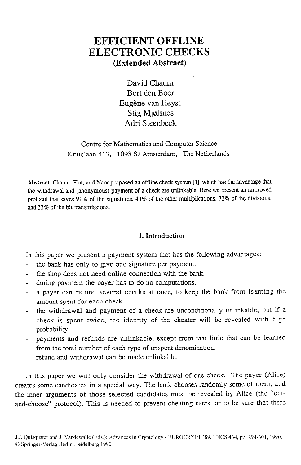# **EFFICIENT OFFLINE ELECTRONIC CHECKS (Extended Abstract)**

David Chaum Bert den Boer Eugène van Heyst Stig Mjglsnes Adri Steenbeek

Centre for Mathematics and Computer Science Kruislaan 413, 1098 SJ Amsterdam, The Netherlands

Abstract. Chaum, Fiat. and Naor proposed an offline check system [l], which has the advantage that the wirhdrawai and (anonymous) payment of a check are unlinkable. Here we present an improved protocol that saves 91% of the signatures, 41% of the other multiplications, 73% of the divisions, and 33% of the bit transmissions.

## 1. Introduction

In this paper we present a payment system that has the following advantages:

- the bank has only to give one signature per payment.
- the shop does not need online connection with the bank.
- during payment the payer has to do no computations.
- a payer can refund several checks at once, to keep the bank from learning the amount spent for each check.
- the withdrawal and payment of a check are unconditionally unlinkable, but if a check is spent twice, the identity of the cheater will be revealed with high probability.
- payments and refunds are unlinkable, except from that little that can be learned from the total number of each type of unspent denomination.
- refund and withdrawal can be made unlinkable.

In this paper we will only consider the withdrawal of one check. The payer (Alice) creates some candidates in a special way. The bank chooses randomly some of them, and the inner arguments of those selected candidates must be revealed by Alice (the "cutand-choose" protocol). This is needed to prevent cheating users, or to be sure that there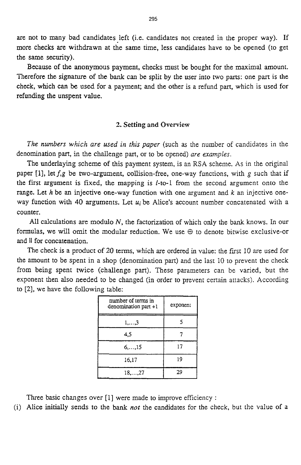are not to many bad candidates left (i.e. candidates not created in the proper way). If more checks are withdrawn **at** the same time, less candidates have to be opened (to get the same security).

Because of the anonymous payment, checks must be bought for the maximal amount. Therefore the signature of the bank can be split by the user into two parts: one part is the check, which can **be** used for a payment; and the other is a refund part, which is used for refunding the unspent value.

## 2. **Setting and Overview**

*The numbers which are used in this paper* (such as the number of candidates in the denomination part, in the challenge part, or to be opened) *are examples.* 

The underlaying scheme of this payment system, is an RSA scheme. As in the original paper [1], let  $f,g$  be two-argument, collision-free, one-way functions, with g such that if the first argument is fixed, the mapping is l-to-1 from the second argument onto the range. Let *h* be an injective one-way function with one argument and *k* an injective oneway function with **40** arguments. Let *u;* be Alice's account number concatenated with a counter.

**All** calculations are modulo *N,* the factorization of which only the bank knows. In our formulas, we will omit the modular reduction. We use *0* to denote bitwise exclusive-or and II for concatenation.

The check **is** a product of 20 terms, which are ordered in value: the frrst 10 are used for the amount to be spent in a shop (denomination part) and the last 10 to prevent the check from being spent twice (challenge part). These parameters can be varied, but the exponent then also needed to be changed (in order to prevent certain attacks). According to [2], we have the following table:

| number of terms in<br>denomination part +1 | exponent |
|--------------------------------------------|----------|
| $1, \ldots, 3$                             |          |
| 4.5                                        |          |
| $6, \ldots, 15$                            | 17       |
| 16,17                                      | 19       |
| $18, \ldots, 27$                           | 29       |

Three basic changes over [l] were made to improve efficiency :

(i) Alice initially sends to the bank *not* the candidates for the check, but the value of a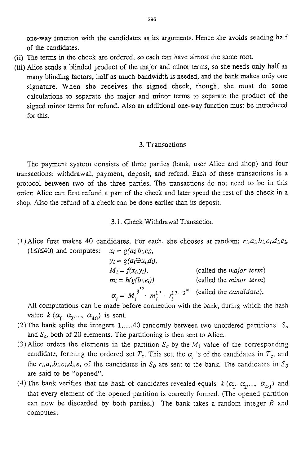one-way function with the candidates as its arguments. Hence she avoids sending half of the candidates.

- (ii) The terms in the check are ordered, so each can have almost the same root.
- (iii) Alice sends a blinded product of the major and minor terms, so she needs only half as many blinding factors, half as much bandwidth is needed, and the bank makes only one signature. When she receives the signed check, though, she must do some calculations to separate the major and minor terms to separate the product of the signed minor terms for refund. Also an additional one-way function must be introduced for this.

## **3.** Transactions

The payment system consists of three parties (bank, user Alice and shop) and four mansactions: withdrawal, payment, deposit, and refund. Each of these transactions is a protocol between two of the three parties. The transactions do not need to be in this order; Alice can first refund a part of the check and later spend the rest of the check in a shop. Also the refund of a check can be done earlier than its deposit.

- 3.1. Check Withdrawal Transaction
- (1) Alice first makes 40 candidates. For each, she chooses at random:  $r_i, a_i, b_i, c_i, d_i, e_i$ , (1 $\leq i \leq 40$ ) and computes:  $x_i = g(a_i||b_i,c_i)$ ,

| $y_i = g(a_i \oplus u_i, d_i)$ ,                                                                     |                                |
|------------------------------------------------------------------------------------------------------|--------------------------------|
| $M_i = f(x_i, y_i)$ ,                                                                                | (called the <i>major</i> term) |
| $m_i = h(g(b_i,e_i)),$                                                                               | (called the <i>minor</i> term) |
| $\alpha_i = M_i^{3^{10}} \cdot m_i^{17} \cdot r_i^{17 \cdot 3^{10}}$ (called the <i>candidate</i> ). |                                |

All computations can be made before connection with the bank, during which the hash value  $k$  ( $\alpha_1$ ,  $\alpha_2$ ,  $\alpha_3$ ,  $\alpha_{A0}$ ) is sent.

- (2) The bank splits the integers 1,..., 40 randomly between two unordered partitions  $S<sub>o</sub>$ and  $S_c$ , both of 20 elements. The partitioning is then sent to Alice.
- (3) Alice orders the elements in the partition  $S_c$  by the  $M_i$  value of the corresponding candidate, forming the ordered set  $T_c$ . This set, the  $\alpha_i$  's of the candidates in  $T_c$ , and the  $r_i, a_i, b_i, c_i, d_i, e_i$  of the candidates in  $S_0$  are sent to the bank. The candidates in  $S_0$ are said to be "opened".
- (4) The bank verifies that the hash of candidates revealed equals  $k$  ( $\alpha_1$ ,  $\alpha_2$ ,...,  $\alpha_{40}$ ) and that every element of the opened partition is correctly formed. (The opened partition can now be discarded by both parties.) The bank takes a random integer *R* and computes: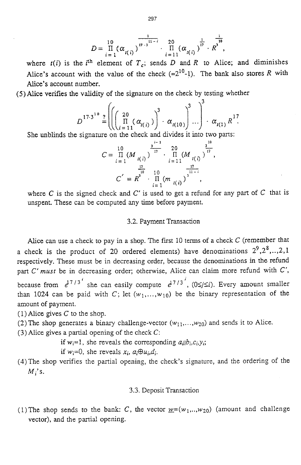$$
D = \frac{10}{\prod_{i=1}^{10} (\alpha_{i(i)})^{\frac{1}{17 \cdot 3} \cdot \dots \cdot \frac{20}{\prod_{i=11}^{10} (\alpha_{i(i)})^{\frac{1}{17}} \cdot R^{3}},
$$

where  $t(i)$  is the i<sup>th</sup> element of  $T_c$ ; sends *D* and *R* to Alice; and diminishes Alice's account with the value of the check  $(=2^{10}-1)$ . The bank also stores *R* with Alice's account number.

*(5)* Alice verifies the validity of the signature on the check by testing whether

$$
D^{17\cdot3^{10}} = \left( \left( \begin{array}{cc} 20 \\ \Pi \\ (a_{i(1)}) \end{array} \right)^3 \cdot \alpha_{i(10)} \right)^3 \cdot \alpha_{i(11) \text{ times}}^{3}
$$

She unblinds the signature on the check and divides it into two parts:

$$
C = \frac{10}{\prod_{i=1}^{n} (M_{i(i)})^{\frac{3^{i-1}}{17}}} \cdot \frac{20}{\prod_{i=11}^{n} (M_{i(i)})^{\frac{3^{10}}{17}}}
$$

$$
C^{'} = R^3 \cdot \frac{10}{\prod_{i=1}^{n} (m_{i(i)})^{\frac{17}{3^{11-i}}}}
$$

where *C* is the signed check and C' is used to get a refund for any part of *C* that is unspent. These can be computed any time before payment.

## 3.2. Payment Transaction

Alice can use a check to pay in a shop. The fist 10 terms of a check C (remember that a check is the product of 20 ordered elements) have denominations  $2^9, 2^8, \ldots, 2, 1$ respectively. These must be in decreasing order, because the denominations in the refund part C' *must* be in decreasing order; otherwise, Alice can claim more refund with C', because from  $e^{7/3^i}$  she can easily compute  $e^{17/3^i}$ , (0 $\leq j \leq i$ ). Every amount smaller than 1024 can be paid with C; let  $(w_1, \ldots, w_{10})$  be the binary representation of the amount of payment.

(1) Alice gives  $C$  to the shop.

- (2) The shop generates a binary challenge-vector  $(w_{11},...,w_{20})$  and sends it to Alice.
- (3) Alice gives a partial opening of the check  $C$ :

if  $w_i=1$ , she reveals the corresponding  $a_{ii}b_{i},c_i,y_i$ ;

if  $w_i=0$ , she reveals  $x_i$ ,  $a_i \oplus u_i$ ,  $d_i$ .

(4)The shop verifies the partial opening, the check's signature, and the ordering of the  $M_i$ 's.

### 3.3. Deposit Transaction

(1) The shop sends to the bank: C, the vector  $w=(w_1,...,w_{20})$  (amount and challenge vector), and the partial opening.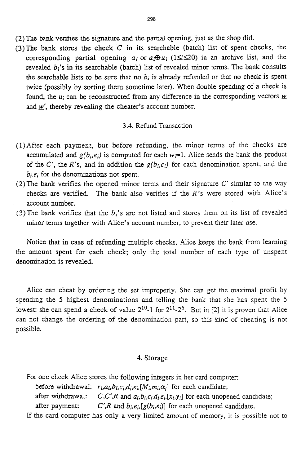- (2)The bank verifies the signature and the partial opening, just as the shop did.
- (3) The bank stores the check  $C$  in its searchable (batch) list of spent checks, the corresponding partial opening  $a_i$  or  $a_i \oplus u_i$  (1 $\le i \le 20$ ) in an archive list, and the revealed *b<sub>i</sub>*'s in its searchable (batch) list of revealed minor terms. The bank consults the searchable lists to be sure that no  $b_i$  is already refunded or that no check is spent twice (possibly by sorting them sometime later). When double spendmg of a check is found, the  $u_i$  can be reconstructed from any difference in the corresponding vectors  $\underline{w}$ and  $\underline{w}'$ , thereby revealing the cheater's account number.

### **3.4.** Refund Transaction

- (1)After each payment, but before refunding, the minor terms of the checks are accumulated and  $g(b_i,e_i)$  is computed for each  $w_i=1$ . Alice sends the bank the product of the  $C'$ , the  $R'$ 's, and in addition the  $g(b_i,e_i)$  for each denomination spent, and the *bj,ei* for the denominations not spent.
- (2)The **bank** verifies the opened minor terms and their signature C' similar to the way checks are verified. The bank also verifies if the *R's* were stored with Alice's account number.
- (3)The bank verifies that the *bi's* are not listed and stores them on its list of revealed minor terms together with Alice's account number, to prevent their later use.

Notice that in case of refunding multiple checks, Alice keeps the bank from learning the amount spent for each check; only the total number of each type of unspent denomination is revealed.

Alice can cheat by ordering the set improperly. She can get the maximal profit by spending the *5* highest denominations and telling the bank that she has spent the *5*  lowest: she can spend a check of value  $2^{10}$ -1 for  $2^{11}$ - $2^6$ . But in [2] it is proven that Alice can not change the ordering of the denomination part, so this **kind** of cheating is not possible.

## **4. Storage**

For one check Alice stores the following integers in her card computer:

before withdrawal:  $r_i, a_i, b_i, c_i, d_i, e_i$ [*M<sub>i</sub>,m<sub>i</sub>,* $\alpha_i$ ] for each candidate;

after withdrawal:  $C, C', R$  and  $a_i, b_i, c_i, d_i, e_i[x_i, y_i]$  for each unopened candidate;

after payment:  $C'$ , R and  $b_i$ ,  $e_i$ ,  $[g(b_i, e_i)]$  for each unopened candidate.

If the card computer has only a very limited amount of memory, it is possible not to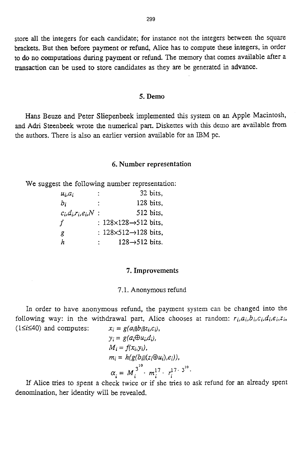store all the integers for each candidate; for instance not the integers between the square brackets. But then before payment or refund, Alice has to compute these integers, in order to do no computations during payment or refund. The memory that comes available after a transaction can be used to store candidates as they are **be** generated in advance.

## **5. Demo**

**Hans** Beuze **and** Peter Sliepenbeek implemented this system on **an** Apple Macintosh, **and** Adri Steenbeek wrote the numerical part. Diskettes with this demo are available from the authors. There is also **an** earlier version available for an IBM pc.

## **6. Number representation**

We suggest the following number representation:

| $u_i.a_i$                 | 32 bits,                               |
|---------------------------|----------------------------------------|
| b:                        | 128 bits,                              |
| $c_i, d_i, r_i, e_i, N$ : | 512 bits.                              |
| f                         | : $128\times128 \rightarrow 512$ bits, |
| g                         | : $128\times512 \rightarrow 128$ bits, |
| h                         | $128 \rightarrow 512$ bits.<br>t.      |

## **7. Improvements**

#### 7.1. Anonymous refund

In order to have anonymous refund, the payment system can be changed into the following way: in the withdrawal part, Alice chooses at random:  $r_i, a_i, b_i, c_i, d_i, e_i, z_i$  $(1 \leq i \leq 40)$  and computes:  $x_i = g(a_i||b_i||z_i,c_i)$ 

$$
\begin{aligned}\n x_i &= g(a_i \oplus u_i, c_i), \\
y_i &= g(a_i \oplus u_i, d_i), \\
M_i &= f(x_i, y_i), \\
m_i &= h(g(b_i||(z_i \oplus u_i), e_i)), \\
\alpha_i &= M_i^{3^{10}} \cdot m_i^{17} \cdot r_i^{17 \cdot 3^{10}}.\n \end{aligned}
$$

If Alice tries to spent a check twice or if she tries to ask refund for an already spent denomination, her identity will be revealed.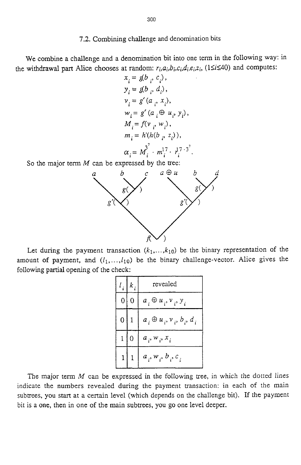## *7.2.* Combining challenge and denomination bits

We combine a challenge and a denomination bit into one term in the following way: in the withdrawal part Alice chooses at random:  $r_i, a_i, b_i, c_i, d_i, e_i, z_i$ , ( $1 \le i \le 40$ ) and computes:

$$
x_i = g(b_i, c_i),
$$
  
\n
$$
y_i = g(b_i, d_i),
$$
  
\n
$$
v_i = g'(a_i, x_i),
$$
  
\n
$$
w_i = g'(a_i \oplus u_i, y_i),
$$
  
\n
$$
M_i = f(v_i, w_i),
$$
  
\n
$$
m_i = h'(h(b_i, z_i)),
$$
  
\n
$$
\alpha_i = M_i^3 \cdot m_i^{17} \cdot r_i^{17 \cdot 3}.
$$

So the major term *M* can be expressed by the tree:



Let during the payment transaction  $(k_1,...,k_{10})$  be the binary representation of the amount of payment, and  $(l_1,...,l_{10})$  be the binary challenge-vector. Alice gives the following partial opening of the check:

| $l_i$ ,        | $k_i$          | revealed                                 |
|----------------|----------------|------------------------------------------|
| 0              | $\overline{0}$ | $a_i \oplus u_i, v_i, y_i$               |
| 0 <sup>1</sup> | 1              | $a_i \oplus u_i$ , $v_i$ , $b_i$ , $d_i$ |
| 1              | $\mathbf 0$    | $a_i, w_i, x_i$                          |
|                |                | $a_i, w_i, b_i, c_i$                     |

The major term  $M$  can be expressed in the following tree, in which the dotted lines indicate the numbers revealed during the payment transaction: in each of the main subtrees, you start at a certain level (which depends on the challenge bit). If the payment bit is a one, then in one of the main subtrees, you go one level deeper.